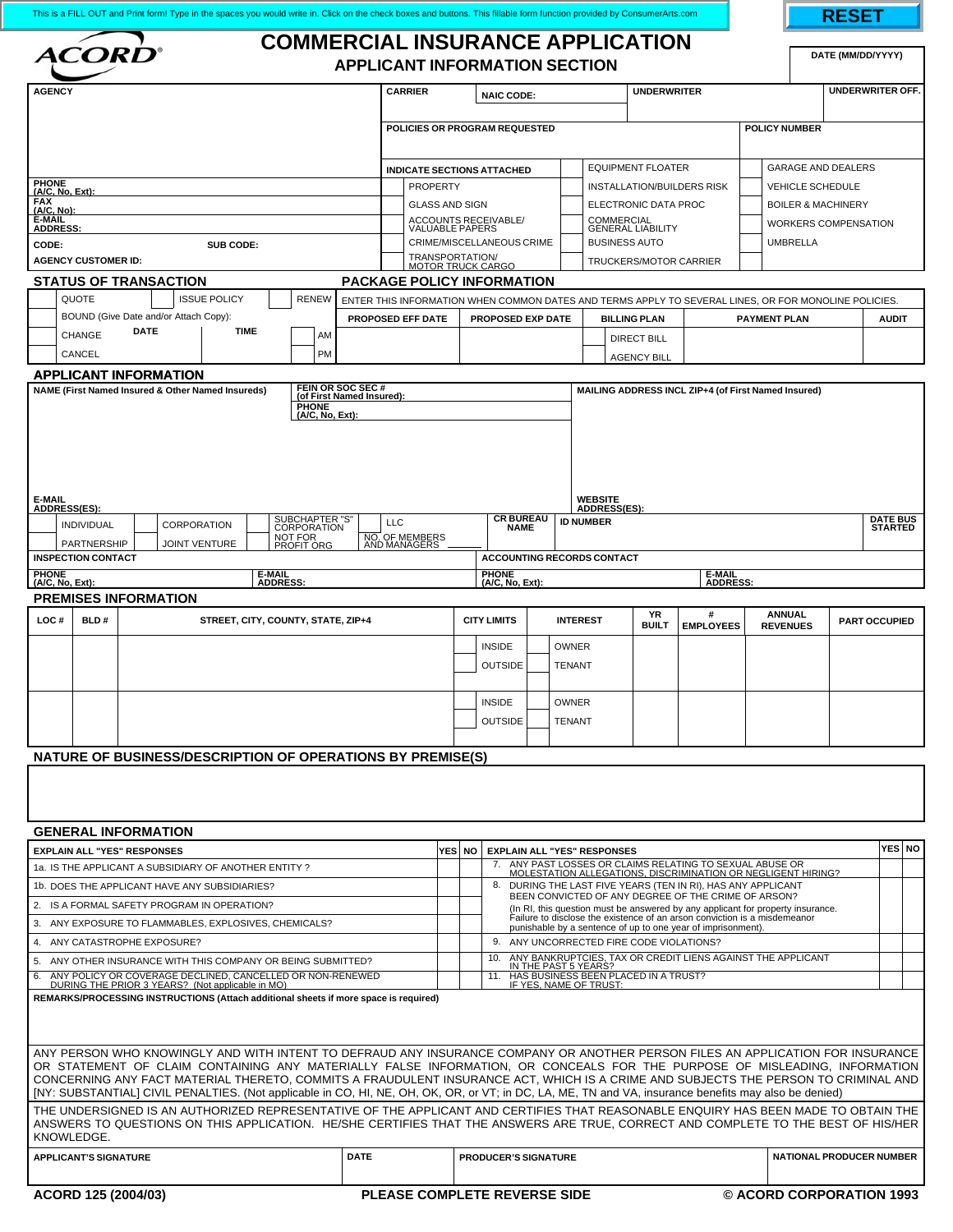| This is a FILL OUT and Print form! Type in the spaces you would write in. Click on the check boxes and buttons. This fillable form function provided by ConsumerArts.com |                                                                                                                           |                                                                                                                                                                                                                                                                 |                                                                                                                                           |                 |                                                                                                                                           |                                 |                    |                                                                                                                           |                                       |                                                                                        |                                                                                                                                                                                            |                          | RESET                      |                                  |                     |  |                      |              |        |
|--------------------------------------------------------------------------------------------------------------------------------------------------------------------------|---------------------------------------------------------------------------------------------------------------------------|-----------------------------------------------------------------------------------------------------------------------------------------------------------------------------------------------------------------------------------------------------------------|-------------------------------------------------------------------------------------------------------------------------------------------|-----------------|-------------------------------------------------------------------------------------------------------------------------------------------|---------------------------------|--------------------|---------------------------------------------------------------------------------------------------------------------------|---------------------------------------|----------------------------------------------------------------------------------------|--------------------------------------------------------------------------------------------------------------------------------------------------------------------------------------------|--------------------------|----------------------------|----------------------------------|---------------------|--|----------------------|--------------|--------|
| <b>COMMERCIAL INSURANCE APPLICATION</b><br><i><b>ACORD®</b></i><br><b>APPLICANT INFORMATION SECTION</b>                                                                  |                                                                                                                           |                                                                                                                                                                                                                                                                 |                                                                                                                                           |                 |                                                                                                                                           |                                 |                    |                                                                                                                           |                                       |                                                                                        |                                                                                                                                                                                            |                          | DATE (MM/DD/YYYY)          |                                  |                     |  |                      |              |        |
| <b>AGENCY</b>                                                                                                                                                            |                                                                                                                           | <b>CARRIER</b><br><b>NAIC CODE:</b>                                                                                                                                                                                                                             |                                                                                                                                           |                 |                                                                                                                                           |                                 | <b>UNDERWRITER</b> |                                                                                                                           |                                       | UNDERWRITER OFF.                                                                       |                                                                                                                                                                                            |                          |                            |                                  |                     |  |                      |              |        |
|                                                                                                                                                                          |                                                                                                                           |                                                                                                                                                                                                                                                                 |                                                                                                                                           |                 |                                                                                                                                           |                                 |                    |                                                                                                                           |                                       |                                                                                        |                                                                                                                                                                                            |                          |                            |                                  |                     |  |                      |              |        |
|                                                                                                                                                                          |                                                                                                                           | POLICIES OR PROGRAM REQUESTED                                                                                                                                                                                                                                   |                                                                                                                                           |                 |                                                                                                                                           |                                 |                    |                                                                                                                           |                                       |                                                                                        |                                                                                                                                                                                            | <b>POLICY NUMBER</b>     |                            |                                  |                     |  |                      |              |        |
| <b>PHONE</b>                                                                                                                                                             |                                                                                                                           |                                                                                                                                                                                                                                                                 | <b>INDICATE SECTIONS ATTACHED</b>                                                                                                         |                 |                                                                                                                                           |                                 |                    | <b>EQUIPMENT FLOATER</b>                                                                                                  |                                       |                                                                                        | GARAGE AND DEALERS                                                                                                                                                                         |                          |                            |                                  |                     |  |                      |              |        |
| $(A/C, No, Ext)$ :<br><b>FAX</b>                                                                                                                                         |                                                                                                                           | <b>PROPERTY</b><br><b>GLASS AND SIGN</b>                                                                                                                                                                                                                        |                                                                                                                                           |                 |                                                                                                                                           |                                 |                    |                                                                                                                           | ELECTRONIC DATA PROC                  | INSTALLATION/BUILDERS RISK<br><b>VEHICLE SCHEDULE</b><br><b>BOILER &amp; MACHINERY</b> |                                                                                                                                                                                            |                          |                            |                                  |                     |  |                      |              |        |
| (A/C, No):<br>E-MAIL<br><b>ADDRESS:</b>                                                                                                                                  |                                                                                                                           | ACCOUNTS RECEIVABLE/<br>VALUABLE PAPERS                                                                                                                                                                                                                         |                                                                                                                                           |                 |                                                                                                                                           |                                 |                    |                                                                                                                           | COMMERCIAL<br>GENERAL LIABILITY       |                                                                                        | <b>WORKERS COMPENSATION</b>                                                                                                                                                                |                          |                            |                                  |                     |  |                      |              |        |
| CODE:                                                                                                                                                                    |                                                                                                                           | CRIME/MISCELLANEOUS CRIME                                                                                                                                                                                                                                       |                                                                                                                                           |                 |                                                                                                                                           |                                 |                    | <b>BUSINESS AUTO</b>                                                                                                      |                                       |                                                                                        |                                                                                                                                                                                            | <b>UMBRELLA</b>          |                            |                                  |                     |  |                      |              |        |
|                                                                                                                                                                          | <b>AGENCY CUSTOMER ID:</b>                                                                                                | TRANSPORTATION/<br>MOTOR TRUCK CARGO                                                                                                                                                                                                                            |                                                                                                                                           |                 |                                                                                                                                           |                                 |                    | <b>TRUCKERS/MOTOR CARRIER</b>                                                                                             |                                       |                                                                                        |                                                                                                                                                                                            |                          |                            |                                  |                     |  |                      |              |        |
|                                                                                                                                                                          |                                                                                                                           | <b>STATUS OF TRANSACTION</b>                                                                                                                                                                                                                                    |                                                                                                                                           |                 | <b>PACKAGE POLICY INFORMATION</b>                                                                                                         |                                 |                    |                                                                                                                           |                                       |                                                                                        |                                                                                                                                                                                            |                          |                            |                                  |                     |  |                      |              |        |
|                                                                                                                                                                          | QUOTE<br><b>ISSUE POLICY</b><br><b>RENEW</b><br>BOUND (Give Date and/or Attach Copy):                                     |                                                                                                                                                                                                                                                                 |                                                                                                                                           |                 |                                                                                                                                           |                                 |                    | ENTER THIS INFORMATION WHEN COMMON DATES AND TERMS APPLY TO SEVERAL LINES, OR FOR MONOLINE POLICIES.<br>PROPOSED EXP DATE |                                       |                                                                                        |                                                                                                                                                                                            | <b>BILLING PLAN</b>      |                            |                                  | <b>PAYMENT PLAN</b> |  |                      | <b>AUDIT</b> |        |
|                                                                                                                                                                          | <b>CHANGE</b>                                                                                                             | <b>DATE</b><br><b>TIME</b><br>AM                                                                                                                                                                                                                                |                                                                                                                                           |                 |                                                                                                                                           | <b>PROPOSED EFF DATE</b>        |                    |                                                                                                                           |                                       |                                                                                        |                                                                                                                                                                                            |                          | <b>DIRECT BILL</b>         |                                  |                     |  |                      |              |        |
|                                                                                                                                                                          | CANCEL                                                                                                                    |                                                                                                                                                                                                                                                                 |                                                                                                                                           |                 |                                                                                                                                           |                                 |                    |                                                                                                                           | <b>AGENCY BILL</b>                    |                                                                                        |                                                                                                                                                                                            |                          |                            |                                  |                     |  |                      |              |        |
|                                                                                                                                                                          |                                                                                                                           | <b>APPLICANT INFORMATION</b>                                                                                                                                                                                                                                    |                                                                                                                                           |                 |                                                                                                                                           |                                 |                    |                                                                                                                           |                                       |                                                                                        | MAILING ADDRESS INCL ZIP+4 (of First Named Insured)                                                                                                                                        |                          |                            |                                  |                     |  |                      |              |        |
|                                                                                                                                                                          |                                                                                                                           | NAME (First Named Insured & Other Named Insureds)                                                                                                                                                                                                               |                                                                                                                                           | <b>PHONE</b>    | FEIN OR SOC SEC#<br>(of First Named Insured):                                                                                             |                                 |                    |                                                                                                                           |                                       |                                                                                        |                                                                                                                                                                                            |                          |                            |                                  |                     |  |                      |              |        |
|                                                                                                                                                                          |                                                                                                                           |                                                                                                                                                                                                                                                                 |                                                                                                                                           |                 |                                                                                                                                           |                                 |                    |                                                                                                                           |                                       |                                                                                        |                                                                                                                                                                                            |                          |                            |                                  |                     |  |                      |              |        |
|                                                                                                                                                                          |                                                                                                                           |                                                                                                                                                                                                                                                                 |                                                                                                                                           |                 |                                                                                                                                           |                                 |                    |                                                                                                                           |                                       |                                                                                        |                                                                                                                                                                                            |                          |                            |                                  |                     |  |                      |              |        |
|                                                                                                                                                                          |                                                                                                                           |                                                                                                                                                                                                                                                                 |                                                                                                                                           |                 |                                                                                                                                           |                                 |                    |                                                                                                                           |                                       |                                                                                        |                                                                                                                                                                                            |                          |                            |                                  |                     |  |                      |              |        |
|                                                                                                                                                                          |                                                                                                                           |                                                                                                                                                                                                                                                                 |                                                                                                                                           |                 |                                                                                                                                           |                                 |                    |                                                                                                                           |                                       |                                                                                        |                                                                                                                                                                                            |                          |                            |                                  |                     |  |                      |              |        |
| <b>E-MAIL</b><br>ADDRESS(ES):                                                                                                                                            |                                                                                                                           |                                                                                                                                                                                                                                                                 |                                                                                                                                           |                 |                                                                                                                                           |                                 |                    |                                                                                                                           | <b>WEBSITE</b><br><b>ADDRESS(ES):</b> |                                                                                        |                                                                                                                                                                                            |                          |                            |                                  |                     |  |                      |              |        |
|                                                                                                                                                                          | INDIVIDUAL                                                                                                                | <b>CR BUREAU</b><br><b>LLC</b><br><b>NAME</b>                                                                                                                                                                                                                   |                                                                                                                                           |                 |                                                                                                                                           |                                 | <b>ID NUMBER</b>   |                                                                                                                           |                                       |                                                                                        |                                                                                                                                                                                            |                          | <b>DATE BUS</b><br>STARTED |                                  |                     |  |                      |              |        |
|                                                                                                                                                                          | PARTNERSHIP<br><b>INSPECTION CONTACT</b>                                                                                  | NO. OF MEMBERS<br>AND MANAGERS<br><b>ACCOUNTING RECORDS CONTACT</b>                                                                                                                                                                                             |                                                                                                                                           |                 |                                                                                                                                           |                                 |                    |                                                                                                                           |                                       |                                                                                        |                                                                                                                                                                                            |                          |                            |                                  |                     |  |                      |              |        |
| <b>PHONE</b>                                                                                                                                                             |                                                                                                                           |                                                                                                                                                                                                                                                                 |                                                                                                                                           | <b>E-MAIL</b>   |                                                                                                                                           |                                 |                    |                                                                                                                           | <b>PHONE</b>                          |                                                                                        |                                                                                                                                                                                            |                          |                            | <b>E-MAIL</b>                    |                     |  |                      |              |        |
| (A/C, No, Ext):                                                                                                                                                          |                                                                                                                           | <b>PREMISES INFORMATION</b>                                                                                                                                                                                                                                     |                                                                                                                                           | <b>ADDRESS:</b> |                                                                                                                                           |                                 |                    |                                                                                                                           | (A/C, No, Ext):                       |                                                                                        |                                                                                                                                                                                            |                          |                            | ADDRESS:                         |                     |  |                      |              |        |
| LOC#                                                                                                                                                                     | BLD#<br>STREET, CITY, COUNTY, STATE, ZIP+4                                                                                |                                                                                                                                                                                                                                                                 |                                                                                                                                           |                 |                                                                                                                                           |                                 |                    |                                                                                                                           | <b>CITY LIMITS</b><br><b>INTEREST</b> |                                                                                        |                                                                                                                                                                                            | YR<br><b>BUILT</b>       | #<br><b>EMPLOYEES</b>      | <b>ANNUAL</b><br><b>REVENUES</b> |                     |  | <b>PART OCCUPIED</b> |              |        |
|                                                                                                                                                                          |                                                                                                                           |                                                                                                                                                                                                                                                                 |                                                                                                                                           |                 |                                                                                                                                           |                                 |                    |                                                                                                                           | <b>INSIDE</b>                         | <b>OWNER</b>                                                                           |                                                                                                                                                                                            |                          |                            |                                  |                     |  |                      |              |        |
|                                                                                                                                                                          |                                                                                                                           |                                                                                                                                                                                                                                                                 |                                                                                                                                           |                 |                                                                                                                                           | <b>OUTSIDE</b><br><b>TENANT</b> |                    |                                                                                                                           |                                       |                                                                                        |                                                                                                                                                                                            |                          |                            |                                  |                     |  |                      |              |        |
|                                                                                                                                                                          |                                                                                                                           |                                                                                                                                                                                                                                                                 |                                                                                                                                           |                 |                                                                                                                                           |                                 |                    |                                                                                                                           |                                       |                                                                                        |                                                                                                                                                                                            |                          |                            |                                  |                     |  |                      |              |        |
|                                                                                                                                                                          |                                                                                                                           |                                                                                                                                                                                                                                                                 |                                                                                                                                           |                 |                                                                                                                                           |                                 |                    |                                                                                                                           | <b>INSIDE</b><br><b>OWNER</b>         |                                                                                        |                                                                                                                                                                                            |                          |                            |                                  |                     |  |                      |              |        |
|                                                                                                                                                                          |                                                                                                                           |                                                                                                                                                                                                                                                                 |                                                                                                                                           |                 |                                                                                                                                           |                                 |                    |                                                                                                                           | <b>OUTSIDE</b><br><b>TENANT</b>       |                                                                                        |                                                                                                                                                                                            |                          |                            |                                  |                     |  |                      |              |        |
|                                                                                                                                                                          |                                                                                                                           | <b>NATURE OF BUSINESS/DESCRIPTION OF OPERATIONS BY PREMISE(S)</b>                                                                                                                                                                                               |                                                                                                                                           |                 |                                                                                                                                           |                                 |                    |                                                                                                                           |                                       |                                                                                        |                                                                                                                                                                                            |                          |                            |                                  |                     |  |                      |              |        |
|                                                                                                                                                                          |                                                                                                                           |                                                                                                                                                                                                                                                                 |                                                                                                                                           |                 |                                                                                                                                           |                                 |                    |                                                                                                                           |                                       |                                                                                        |                                                                                                                                                                                            |                          |                            |                                  |                     |  |                      |              |        |
|                                                                                                                                                                          |                                                                                                                           |                                                                                                                                                                                                                                                                 |                                                                                                                                           |                 |                                                                                                                                           |                                 |                    |                                                                                                                           |                                       |                                                                                        |                                                                                                                                                                                            |                          |                            |                                  |                     |  |                      |              |        |
|                                                                                                                                                                          |                                                                                                                           |                                                                                                                                                                                                                                                                 |                                                                                                                                           |                 |                                                                                                                                           |                                 |                    |                                                                                                                           |                                       |                                                                                        |                                                                                                                                                                                            |                          |                            |                                  |                     |  |                      |              |        |
|                                                                                                                                                                          |                                                                                                                           | <b>GENERAL INFORMATION</b>                                                                                                                                                                                                                                      |                                                                                                                                           |                 |                                                                                                                                           |                                 |                    |                                                                                                                           |                                       |                                                                                        |                                                                                                                                                                                            |                          |                            |                                  |                     |  |                      |              | YES NO |
|                                                                                                                                                                          | <b>EXPLAIN ALL "YES" RESPONSES</b>                                                                                        |                                                                                                                                                                                                                                                                 | YES NO I                                                                                                                                  |                 |                                                                                                                                           |                                 |                    | <b>EXPLAIN ALL "YES" RESPONSES</b>                                                                                        |                                       |                                                                                        | ANY PAST LOSSES OR CLAIMS RELATING TO SEXUAL ABUSE OR                                                                                                                                      |                          |                            |                                  |                     |  |                      |              |        |
| 1a. IS THE APPLICANT A SUBSIDIARY OF ANOTHER ENTITY?<br>1b. DOES THE APPLICANT HAVE ANY SUBSIDIARIES?                                                                    |                                                                                                                           |                                                                                                                                                                                                                                                                 |                                                                                                                                           |                 |                                                                                                                                           |                                 |                    |                                                                                                                           |                                       |                                                                                        | <u>MOLESTATION ALLEGATIONS, DISCRIMINATION OR NEGLIGENT HIRING?</u><br>8. DURING THE LAST FIVE YEARS (TEN IN RI), HAS ANY APPLICANT<br>BEEN CONVICTED OF ANY DEGREE OF THE CRIME OF ARSON? |                          |                            |                                  |                     |  |                      |              |        |
|                                                                                                                                                                          | 2. IS A FORMAL SAFETY PROGRAM IN OPERATION?                                                                               |                                                                                                                                                                                                                                                                 |                                                                                                                                           |                 |                                                                                                                                           |                                 |                    |                                                                                                                           |                                       |                                                                                        | (In RI, this question must be answered by any applicant for property insurance.                                                                                                            |                          |                            |                                  |                     |  |                      |              |        |
|                                                                                                                                                                          | 3. ANY EXPOSURE TO FLAMMABLES, EXPLOSIVES, CHEMICALS?                                                                     |                                                                                                                                                                                                                                                                 |                                                                                                                                           |                 | Failure to disclose the existence of an arson conviction is a misdemeanor<br>punishable by a sentence of up to one year of imprisonment). |                                 |                    |                                                                                                                           |                                       |                                                                                        |                                                                                                                                                                                            |                          |                            |                                  |                     |  |                      |              |        |
|                                                                                                                                                                          | 4. ANY CATASTROPHE EXPOSURE?                                                                                              |                                                                                                                                                                                                                                                                 |                                                                                                                                           |                 | 9. ANY UNCORRECTED FIRE CODE VIOLATIONS?                                                                                                  |                                 |                    |                                                                                                                           |                                       |                                                                                        |                                                                                                                                                                                            |                          |                            |                                  |                     |  |                      |              |        |
| 6.                                                                                                                                                                       | 5. ANY OTHER INSURANCE WITH THIS COMPANY OR BEING SUBMITTED?<br>ANY POLICY OR COVERAGE DECLINED, CANCELLED OR NON-RENEWED |                                                                                                                                                                                                                                                                 | ANY BANKRUPTCIES, TAX OR CREDIT LIENS AGAINST THE APPLICANT<br>10.<br>IN THE PAST 5 YEARS?<br>HAS BUSINESS BEEN PLACED IN A TRUST?<br>11. |                 |                                                                                                                                           |                                 |                    |                                                                                                                           |                                       |                                                                                        |                                                                                                                                                                                            |                          |                            |                                  |                     |  |                      |              |        |
|                                                                                                                                                                          |                                                                                                                           | DURING THE PRIOR 3 YEARS? (Not applicable in MO)                                                                                                                                                                                                                |                                                                                                                                           |                 |                                                                                                                                           |                                 |                    |                                                                                                                           |                                       |                                                                                        |                                                                                                                                                                                            | IF YES, NAME OF TRUST:   |                            |                                  |                     |  |                      |              |        |
|                                                                                                                                                                          |                                                                                                                           | REMARKS/PROCESSING INSTRUCTIONS (Attach additional sheets if more space is required)                                                                                                                                                                            |                                                                                                                                           |                 |                                                                                                                                           |                                 |                    |                                                                                                                           |                                       |                                                                                        |                                                                                                                                                                                            |                          |                            |                                  |                     |  |                      |              |        |
|                                                                                                                                                                          |                                                                                                                           |                                                                                                                                                                                                                                                                 |                                                                                                                                           |                 |                                                                                                                                           |                                 |                    |                                                                                                                           |                                       |                                                                                        |                                                                                                                                                                                            |                          |                            |                                  |                     |  |                      |              |        |
|                                                                                                                                                                          |                                                                                                                           | ANY PERSON WHO KNOWINGLY AND WITH INTENT TO DEFRAUD ANY INSURANCE COMPANY OR ANOTHER PERSON FILES AN APPLICATION FOR INSURANCE                                                                                                                                  |                                                                                                                                           |                 |                                                                                                                                           |                                 |                    |                                                                                                                           |                                       |                                                                                        |                                                                                                                                                                                            |                          |                            |                                  |                     |  |                      |              |        |
|                                                                                                                                                                          |                                                                                                                           | OR STATEMENT OF CLAIM CONTAINING ANY MATERIALLY FALSE INFORMATION, OR CONCEALS FOR THE PURPOSE OF MISLEADING, INFORMATION<br>CONCERNING ANY FACT MATERIAL THERETO, COMMITS A FRAUDULENT INSURANCE ACT, WHICH IS A CRIME AND SUBJECTS THE PERSON TO CRIMINAL AND |                                                                                                                                           |                 |                                                                                                                                           |                                 |                    |                                                                                                                           |                                       |                                                                                        |                                                                                                                                                                                            |                          |                            |                                  |                     |  |                      |              |        |
|                                                                                                                                                                          |                                                                                                                           | [NY: SUBSTANTIAL] CIVIL PENALTIES. (Not applicable in CO, HI, NE, OH, OK, OR, or VT; in DC, LA, ME, TN and VA, insurance benefits may also be denied)                                                                                                           |                                                                                                                                           |                 |                                                                                                                                           |                                 |                    |                                                                                                                           |                                       |                                                                                        |                                                                                                                                                                                            |                          |                            |                                  |                     |  |                      |              |        |
|                                                                                                                                                                          |                                                                                                                           | THE UNDERSIGNED IS AN AUTHORIZED REPRESENTATIVE OF THE APPLICANT AND CERTIFIES THAT REASONABLE ENQUIRY HAS BEEN MADE TO OBTAIN THE                                                                                                                              |                                                                                                                                           |                 |                                                                                                                                           |                                 |                    |                                                                                                                           |                                       |                                                                                        |                                                                                                                                                                                            |                          |                            |                                  |                     |  |                      |              |        |
| KNOWLEDGE.                                                                                                                                                               |                                                                                                                           | ANSWERS TO QUESTIONS ON THIS APPLICATION. HE/SHE CERTIFIES THAT THE ANSWERS ARE TRUE, CORRECT AND COMPLETE TO THE BEST OF HIS/HER                                                                                                                               |                                                                                                                                           |                 |                                                                                                                                           |                                 |                    |                                                                                                                           |                                       |                                                                                        |                                                                                                                                                                                            |                          |                            |                                  |                     |  |                      |              |        |
|                                                                                                                                                                          | <b>APPLICANT'S SIGNATURE</b>                                                                                              |                                                                                                                                                                                                                                                                 | <b>PRODUCER'S SIGNATURE</b>                                                                                                               |                 |                                                                                                                                           |                                 |                    |                                                                                                                           |                                       |                                                                                        | <b>NATIONAL PRODUCER NUMBER</b>                                                                                                                                                            |                          |                            |                                  |                     |  |                      |              |        |
|                                                                                                                                                                          |                                                                                                                           |                                                                                                                                                                                                                                                                 |                                                                                                                                           |                 |                                                                                                                                           |                                 |                    |                                                                                                                           |                                       |                                                                                        |                                                                                                                                                                                            |                          |                            |                                  |                     |  |                      |              |        |
|                                                                                                                                                                          | ACORD 125 (2004/03)                                                                                                       |                                                                                                                                                                                                                                                                 | PLEASE COMPLETE REVERSE SIDE                                                                                                              |                 |                                                                                                                                           |                                 |                    |                                                                                                                           |                                       |                                                                                        |                                                                                                                                                                                            | © ACORD CORPORATION 1993 |                            |                                  |                     |  |                      |              |        |